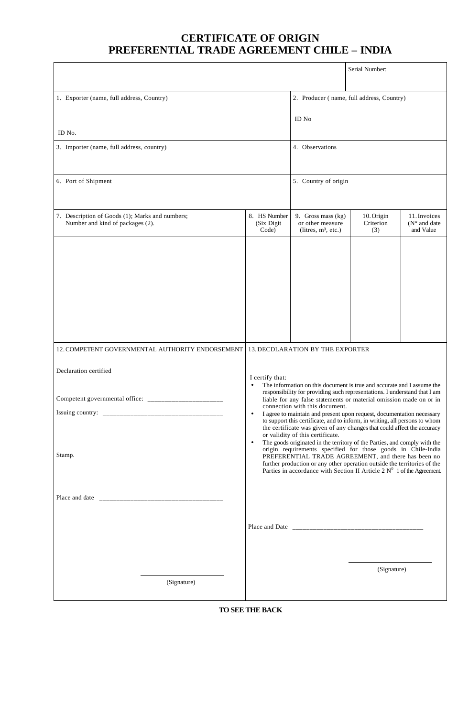## **CERTIFICATE OF ORIGIN PREFERENTIAL TRADE AGREEMENT CHILE – INDIA**

|                                                                                                                                                                                                                                                                                                    |                                                                                                                                                                                                                                                                                                                                                                                                                                                                                                                                                                                                                                                                                                                                                                                                                                                                                                                                        | Serial Number:                                                   |                                |                                                    |
|----------------------------------------------------------------------------------------------------------------------------------------------------------------------------------------------------------------------------------------------------------------------------------------------------|----------------------------------------------------------------------------------------------------------------------------------------------------------------------------------------------------------------------------------------------------------------------------------------------------------------------------------------------------------------------------------------------------------------------------------------------------------------------------------------------------------------------------------------------------------------------------------------------------------------------------------------------------------------------------------------------------------------------------------------------------------------------------------------------------------------------------------------------------------------------------------------------------------------------------------------|------------------------------------------------------------------|--------------------------------|----------------------------------------------------|
| 1. Exporter (name, full address, Country)                                                                                                                                                                                                                                                          |                                                                                                                                                                                                                                                                                                                                                                                                                                                                                                                                                                                                                                                                                                                                                                                                                                                                                                                                        | 2. Producer (name, full address, Country)                        |                                |                                                    |
|                                                                                                                                                                                                                                                                                                    |                                                                                                                                                                                                                                                                                                                                                                                                                                                                                                                                                                                                                                                                                                                                                                                                                                                                                                                                        | ID No                                                            |                                |                                                    |
| ID No.                                                                                                                                                                                                                                                                                             |                                                                                                                                                                                                                                                                                                                                                                                                                                                                                                                                                                                                                                                                                                                                                                                                                                                                                                                                        |                                                                  |                                |                                                    |
| 3. Importer (name, full address, country)                                                                                                                                                                                                                                                          |                                                                                                                                                                                                                                                                                                                                                                                                                                                                                                                                                                                                                                                                                                                                                                                                                                                                                                                                        | 4. Observations                                                  |                                |                                                    |
| 6. Port of Shipment                                                                                                                                                                                                                                                                                |                                                                                                                                                                                                                                                                                                                                                                                                                                                                                                                                                                                                                                                                                                                                                                                                                                                                                                                                        | 5. Country of origin                                             |                                |                                                    |
| 7. Description of Goods (1); Marks and numbers;<br>Number and kind of packages (2).                                                                                                                                                                                                                | 8. HS Number<br>(Six Digit<br>Code)                                                                                                                                                                                                                                                                                                                                                                                                                                                                                                                                                                                                                                                                                                                                                                                                                                                                                                    | 9. Gross mass (kg)<br>or other measure<br>(litres, $m^3$ , etc.) | 10. Origin<br>Criterion<br>(3) | 11. Invoices<br>$(N^{\circ}$ and date<br>and Value |
|                                                                                                                                                                                                                                                                                                    |                                                                                                                                                                                                                                                                                                                                                                                                                                                                                                                                                                                                                                                                                                                                                                                                                                                                                                                                        |                                                                  |                                |                                                    |
| 12. COMPETENT GOVERNMENTAL AUTHORITY ENDORSEMENT                                                                                                                                                                                                                                                   |                                                                                                                                                                                                                                                                                                                                                                                                                                                                                                                                                                                                                                                                                                                                                                                                                                                                                                                                        | <b>13. DECDLARATION BY THE EXPORTER</b>                          |                                |                                                    |
| Declaration certified                                                                                                                                                                                                                                                                              | I certify that:                                                                                                                                                                                                                                                                                                                                                                                                                                                                                                                                                                                                                                                                                                                                                                                                                                                                                                                        |                                                                  |                                |                                                    |
| Competent governmental office:<br>Stamp.                                                                                                                                                                                                                                                           | The information on this document is true and accurate and I assume the<br>$\bullet$<br>responsibility for providing such representations. I understand that I am<br>liable for any false statements or material omission made on or in<br>connection with this document.<br>I agree to maintain and present upon request, documentation necessary<br>$\bullet$<br>to support this certificate, and to inform, in writing, all persons to whom<br>the certificate was given of any changes that could affect the accuracy<br>or validity of this certificate.<br>The goods originated in the territory of the Parties, and comply with the<br>$\bullet$<br>origin requirements specified for those goods in Chile-India<br>PREFERENTIAL TRADE AGREEMENT, and there has been no<br>further production or any other operation outside the territories of the<br>Parties in accordance with Section II Article 2 $N^0$ 1 of the Agreement. |                                                                  |                                |                                                    |
| Place and date $\frac{1}{2}$ = $\frac{1}{2}$ = $\frac{1}{2}$ = $\frac{1}{2}$ = $\frac{1}{2}$ = $\frac{1}{2}$ = $\frac{1}{2}$ = $\frac{1}{2}$ = $\frac{1}{2}$ = $\frac{1}{2}$ = $\frac{1}{2}$ = $\frac{1}{2}$ = $\frac{1}{2}$ = $\frac{1}{2}$ = $\frac{1}{2}$ = $\frac{1}{2}$ = $\frac{1}{2}$ = $\$ |                                                                                                                                                                                                                                                                                                                                                                                                                                                                                                                                                                                                                                                                                                                                                                                                                                                                                                                                        |                                                                  |                                |                                                    |
| (Signature)                                                                                                                                                                                                                                                                                        |                                                                                                                                                                                                                                                                                                                                                                                                                                                                                                                                                                                                                                                                                                                                                                                                                                                                                                                                        |                                                                  | (Signature)                    |                                                    |
|                                                                                                                                                                                                                                                                                                    |                                                                                                                                                                                                                                                                                                                                                                                                                                                                                                                                                                                                                                                                                                                                                                                                                                                                                                                                        |                                                                  |                                |                                                    |

**TO SEE THE BACK**